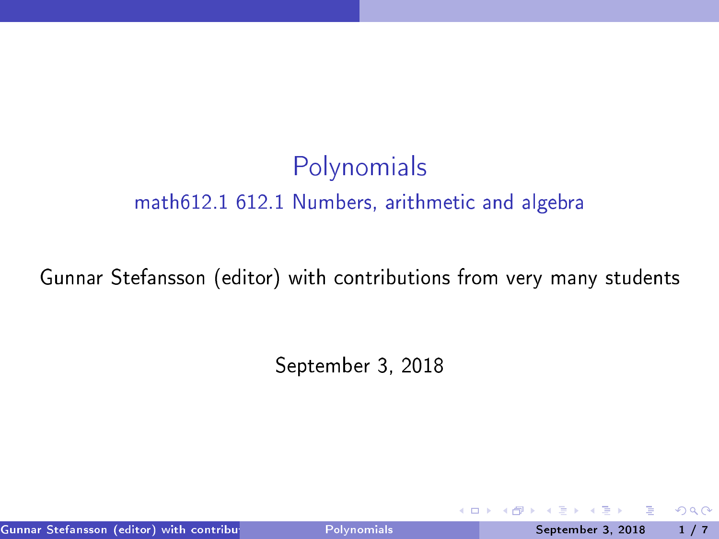## Polynomials math612.1 612.1 Numbers, arithmeti and algebra

#### Gunnar Stefansson (editor) with contributions from very many students

September 3, <sup>2018</sup>

Gunnar Stefansson (editor) with contributions of the Polynomials and September 3, 2018 1 / 7

<span id="page-0-0"></span> $298$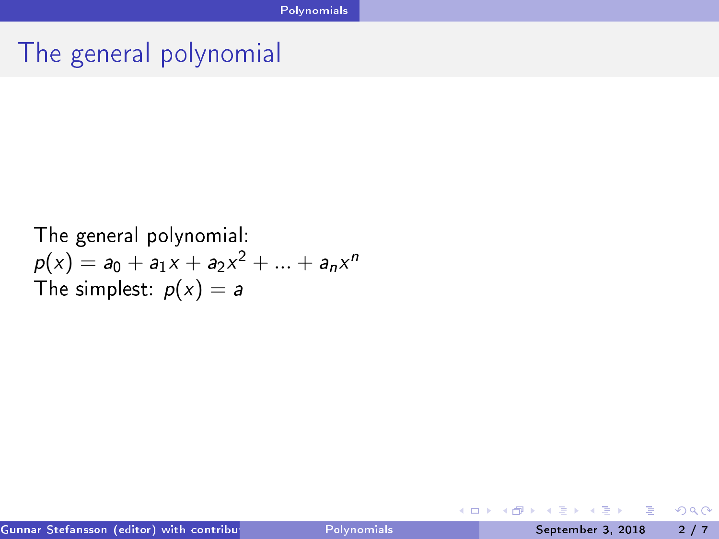# The general polynomial

The general polynomial:  
\n
$$
p(x) = a_0 + a_1x + a_2x^2 + \dots + a_nx^n
$$
\nThe simplest: 
$$
p(x) = a
$$

重

<span id="page-1-0"></span> $298$ 

イロト イ部 トイモト イモト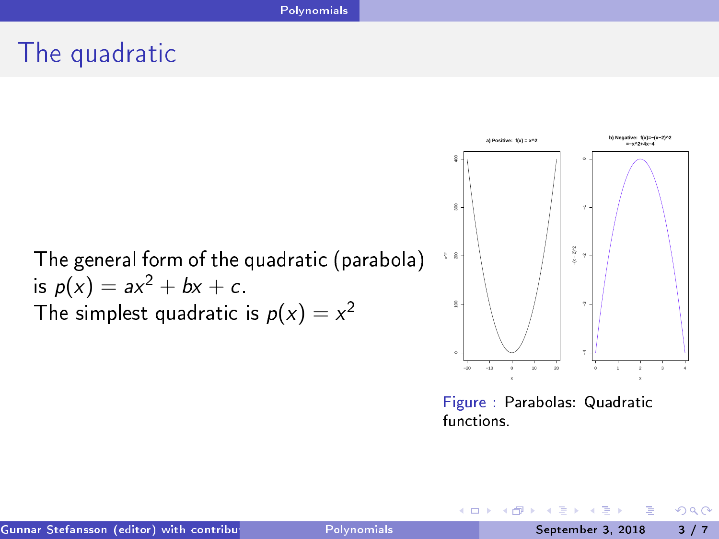# The quadrati

The general form of the quadrati (parabola) is <sup>p</sup>(<sup>x</sup> ) = ax <sup>2</sup> + bx + . The simplest quadrati is <sup>p</sup>(<sup>x</sup> ) = <sup>x</sup> −20 −10 0 10 20 0 100 200 300 400 x^2 0 1 2 3 4 −4 −3 −2 −1 0 **=−x^2+4x−4** −(x − 2)^2

Figure : Parabolas: Quadratic<br>functions.

イロト イ部 トイモト イモト

**a) Positive: f(x) = x^2**

重

<span id="page-2-0"></span> $298$ 

**b) Negative: f(x)=−(x−2)^2**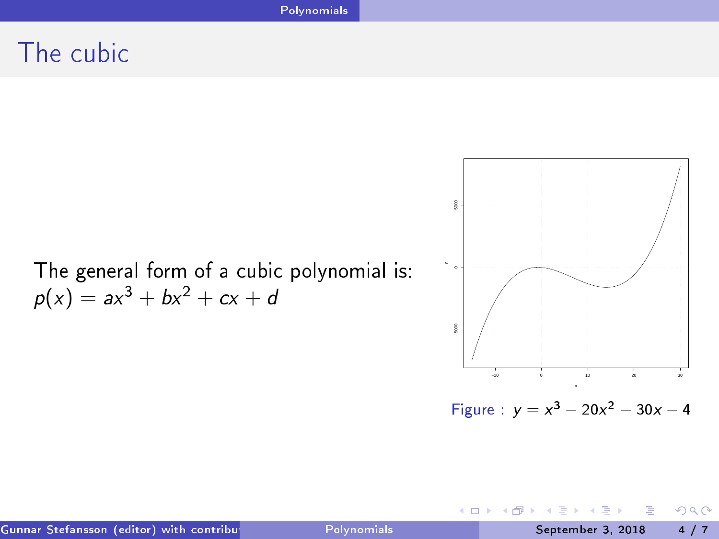#### The cubic

The general form of a cubic polynomial is:  $p(x) = ax^3 + bx^2 + cx + d$ 



Figure :  $y = x^3 - 20x^2 - 30x - 4$ 

不自下

э

<span id="page-3-0"></span> $298$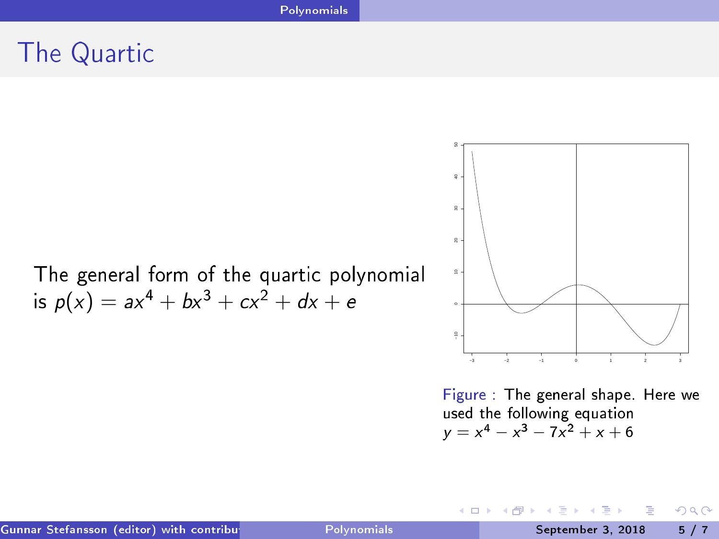#### **Polynomials**

#### The Quarti

The general form of the quartic polynomial is  $p(x) = ax^4 + bx^3 + cx^2 + dx + e$ 



Figure : The general shape. Here we used the following equation  $y = x^4 - x^3 - 7x^2 + x + 6$ 

4 0 8

<span id="page-4-0"></span> $QQ$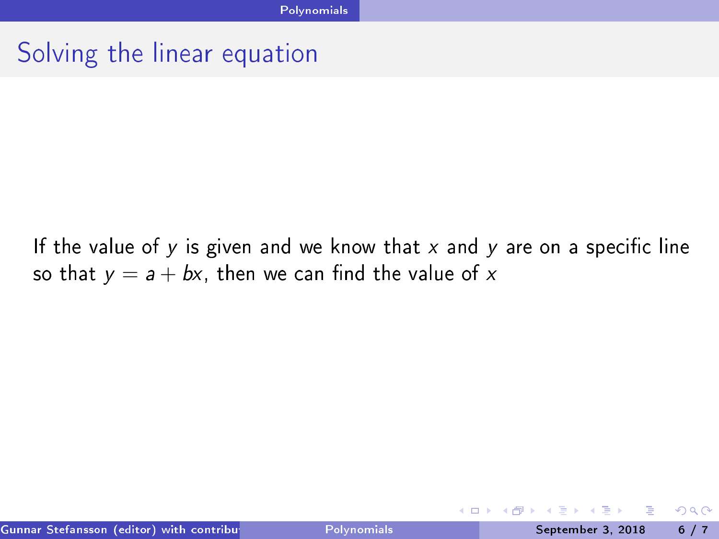#### Solving the linear equation

If the value of  $y$  is given and we know that  $x$  and  $y$  are on a specific line so that  $y = a + bx$ , then we can find the value of x

4 D.K.

<span id="page-5-0"></span> $QQQ$